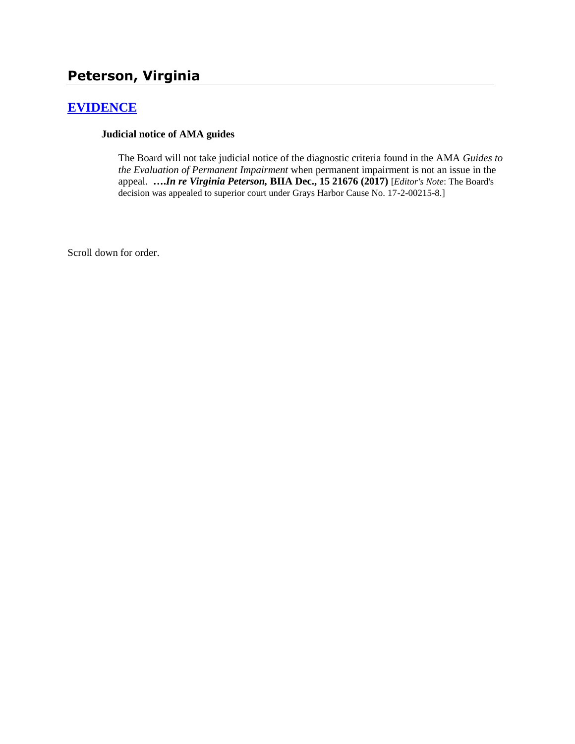# **[EVIDENCE](http://www.biia.wa.gov/SDSubjectIndex.html#EVIDENCE)**

#### **Judicial notice of AMA guides**

The Board will not take judicial notice of the diagnostic criteria found in the AMA *Guides to the Evaluation of Permanent Impairment* when permanent impairment is not an issue in the appeal. **….***In re Virginia Peterson,* **BIIA Dec., 15 21676 (2017)** [*Editor's Note*: The Board's decision was appealed to superior court under Grays Harbor Cause No. 17-2-00215-8.]

Scroll down for order.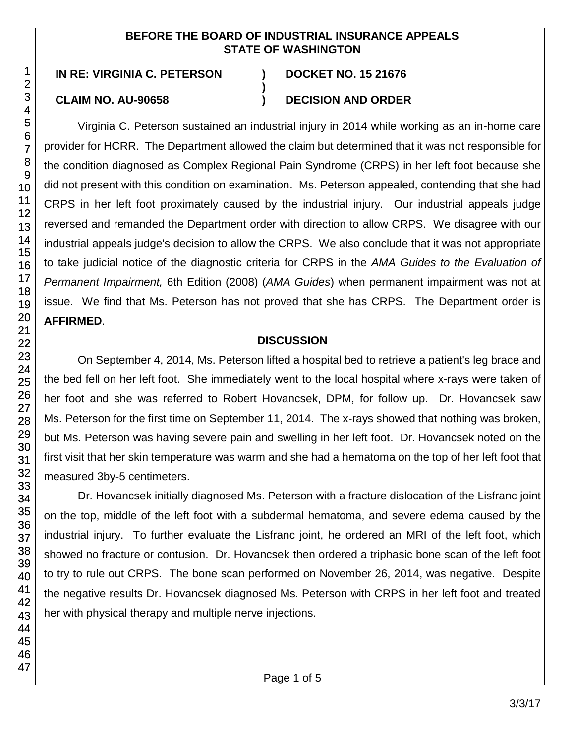#### **BEFORE THE BOARD OF INDUSTRIAL INSURANCE APPEALS STATE OF WASHINGTON**

**)**

#### **CLAIM NO. AU-90658 ) DECISION AND ORDER**

Virginia C. Peterson sustained an industrial injury in 2014 while working as an in-home care provider for HCRR. The Department allowed the claim but determined that it was not responsible for the condition diagnosed as Complex Regional Pain Syndrome (CRPS) in her left foot because she did not present with this condition on examination. Ms. Peterson appealed, contending that she had CRPS in her left foot proximately caused by the industrial injury. Our industrial appeals judge reversed and remanded the Department order with direction to allow CRPS. We disagree with our industrial appeals judge's decision to allow the CRPS. We also conclude that it was not appropriate to take judicial notice of the diagnostic criteria for CRPS in the *AMA Guides to the Evaluation of Permanent Impairment,* 6th Edition (2008) (*AMA Guides*) when permanent impairment was not at issue. We find that Ms. Peterson has not proved that she has CRPS. The Department order is **AFFIRMED**.

#### **DISCUSSION**

On September 4, 2014, Ms. Peterson lifted a hospital bed to retrieve a patient's leg brace and the bed fell on her left foot. She immediately went to the local hospital where x-rays were taken of her foot and she was referred to Robert Hovancsek, DPM, for follow up. Dr. Hovancsek saw Ms. Peterson for the first time on September 11, 2014. The x-rays showed that nothing was broken, but Ms. Peterson was having severe pain and swelling in her left foot. Dr. Hovancsek noted on the first visit that her skin temperature was warm and she had a hematoma on the top of her left foot that measured 3by-5 centimeters.

Dr. Hovancsek initially diagnosed Ms. Peterson with a fracture dislocation of the Lisfranc joint on the top, middle of the left foot with a subdermal hematoma, and severe edema caused by the industrial injury. To further evaluate the Lisfranc joint, he ordered an MRI of the left foot, which showed no fracture or contusion. Dr. Hovancsek then ordered a triphasic bone scan of the left foot to try to rule out CRPS. The bone scan performed on November 26, 2014, was negative. Despite the negative results Dr. Hovancsek diagnosed Ms. Peterson with CRPS in her left foot and treated her with physical therapy and multiple nerve injections.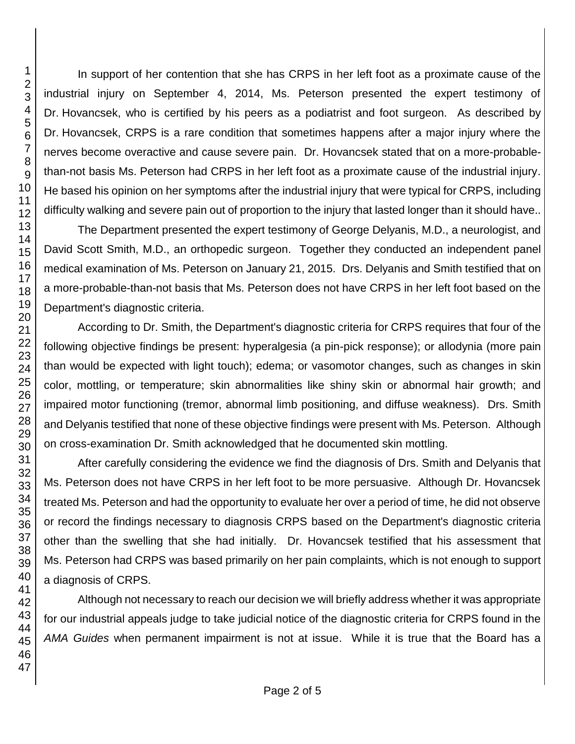In support of her contention that she has CRPS in her left foot as a proximate cause of the industrial injury on September 4, 2014, Ms. Peterson presented the expert testimony of Dr. Hovancsek, who is certified by his peers as a podiatrist and foot surgeon. As described by Dr. Hovancsek, CRPS is a rare condition that sometimes happens after a major injury where the nerves become overactive and cause severe pain. Dr. Hovancsek stated that on a more-probablethan-not basis Ms. Peterson had CRPS in her left foot as a proximate cause of the industrial injury. He based his opinion on her symptoms after the industrial injury that were typical for CRPS, including difficulty walking and severe pain out of proportion to the injury that lasted longer than it should have..

The Department presented the expert testimony of George Delyanis, M.D., a neurologist, and David Scott Smith, M.D., an orthopedic surgeon. Together they conducted an independent panel medical examination of Ms. Peterson on January 21, 2015. Drs. Delyanis and Smith testified that on a more-probable-than-not basis that Ms. Peterson does not have CRPS in her left foot based on the Department's diagnostic criteria.

According to Dr. Smith, the Department's diagnostic criteria for CRPS requires that four of the following objective findings be present: hyperalgesia (a pin-pick response); or allodynia (more pain than would be expected with light touch); edema; or vasomotor changes, such as changes in skin color, mottling, or temperature; skin abnormalities like shiny skin or abnormal hair growth; and impaired motor functioning (tremor, abnormal limb positioning, and diffuse weakness). Drs. Smith and Delyanis testified that none of these objective findings were present with Ms. Peterson. Although on cross-examination Dr. Smith acknowledged that he documented skin mottling.

After carefully considering the evidence we find the diagnosis of Drs. Smith and Delyanis that Ms. Peterson does not have CRPS in her left foot to be more persuasive. Although Dr. Hovancsek treated Ms. Peterson and had the opportunity to evaluate her over a period of time, he did not observe or record the findings necessary to diagnosis CRPS based on the Department's diagnostic criteria other than the swelling that she had initially. Dr. Hovancsek testified that his assessment that Ms. Peterson had CRPS was based primarily on her pain complaints, which is not enough to support a diagnosis of CRPS.

Although not necessary to reach our decision we will briefly address whether it was appropriate for our industrial appeals judge to take judicial notice of the diagnostic criteria for CRPS found in the *AMA Guides* when permanent impairment is not at issue. While it is true that the Board has a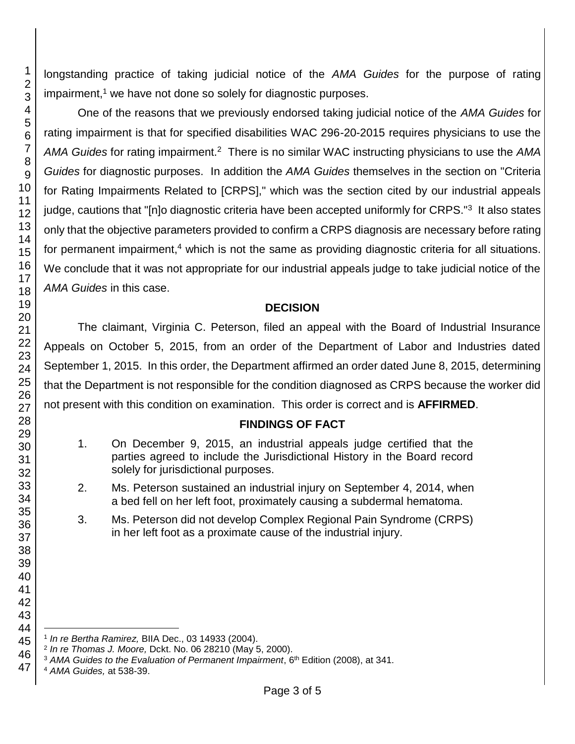longstanding practice of taking judicial notice of the *AMA Guides* for the purpose of rating  $impairment<sup>1</sup>$  we have not done so solely for diagnostic purposes.

One of the reasons that we previously endorsed taking judicial notice of the *AMA Guides* for rating impairment is that for specified disabilities WAC 296-20-2015 requires physicians to use the AMA Guides for rating impairment.<sup>2</sup> There is no similar WAC instructing physicians to use the AMA *Guides* for diagnostic purposes. In addition the *AMA Guides* themselves in the section on "Criteria for Rating Impairments Related to [CRPS]," which was the section cited by our industrial appeals judge, cautions that "[n]o diagnostic criteria have been accepted uniformly for CRPS."<sup>3</sup> It also states only that the objective parameters provided to confirm a CRPS diagnosis are necessary before rating for permanent impairment, which is not the same as providing diagnostic criteria for all situations. We conclude that it was not appropriate for our industrial appeals judge to take judicial notice of the *AMA Guides* in this case.

### **DECISION**

The claimant, Virginia C. Peterson, filed an appeal with the Board of Industrial Insurance Appeals on October 5, 2015, from an order of the Department of Labor and Industries dated September 1, 2015. In this order, the Department affirmed an order dated June 8, 2015, determining that the Department is not responsible for the condition diagnosed as CRPS because the worker did not present with this condition on examination. This order is correct and is **AFFIRMED**.

## **FINDINGS OF FACT**

- 1. On December 9, 2015, an industrial appeals judge certified that the parties agreed to include the Jurisdictional History in the Board record solely for jurisdictional purposes.
- 2. Ms. Peterson sustained an industrial injury on September 4, 2014, when a bed fell on her left foot, proximately causing a subdermal hematoma.
- 3. Ms. Peterson did not develop Complex Regional Pain Syndrome (CRPS) in her left foot as a proximate cause of the industrial injury.

l *In re Bertha Ramirez,* BIIA Dec., 03 14933 (2004).

*In re Thomas J. Moore,* Dckt. No. 06 28210 (May 5, 2000).

<sup>&</sup>lt;sup>3</sup> AMA Guides to the Evaluation of Permanent Impairment, 6<sup>th</sup> Edition (2008), at 341.

*AMA Guides,* at 538-39.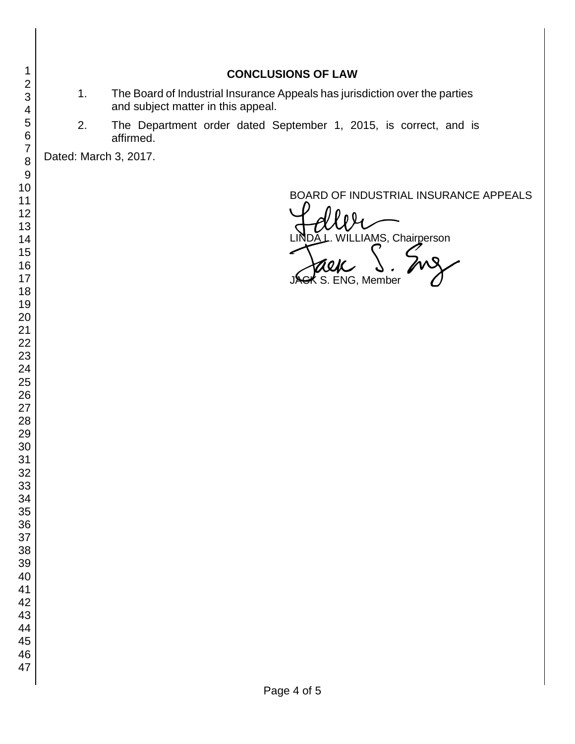## 1. The Board of Industrial Insurance Appeals has jurisdiction over the parties and subject matter in this appeal.

**CONCLUSIONS OF LAW**

2. The Department order dated September 1, 2015, is correct, and is affirmed.

Dated: March 3, 2017.

BOARD OF INDUSTRIAL INSURANCE APPEALS

BOARD OF INDUSTRIAL INSURAM<br>LINDA L. WILLIAMS, Chairperson<br>JAGK S. ENG, Member JACK S. ENG, Member